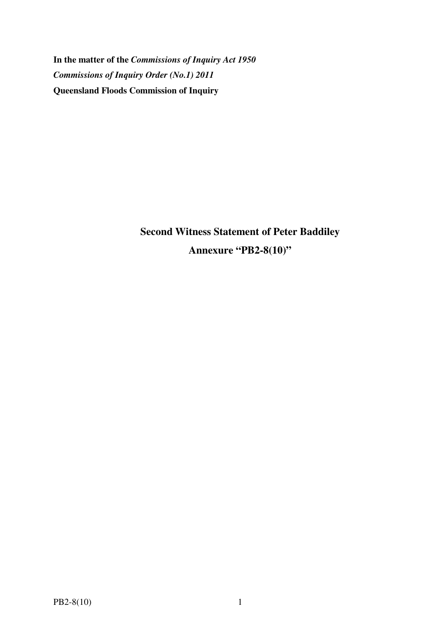**In the matter of the** *Commissions of Inquiry Act 1950 Commissions of Inquiry Order (No.1) 2011* **Queensland Floods Commission of Inquiry** 

> **Second Witness Statement of Peter Baddiley Annexure "PB2-8(10)"**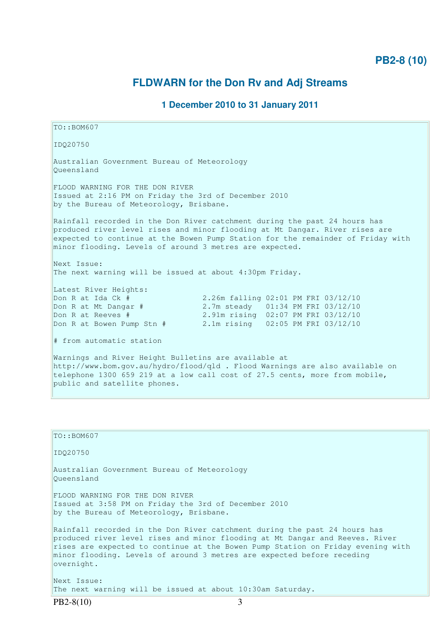## **PB2-8 (10)**

# **FLDWARN for the Don Rv and Adj Streams**

#### **1 December 2010 to 31 January 2011**

TO::BOM607 IDQ20750 Australian Government Bureau of Meteorology Queensland FLOOD WARNING FOR THE DON RIVER Issued at 2:16 PM on Friday the 3rd of December 2010 by the Bureau of Meteorology, Brisbane. Rainfall recorded in the Don River catchment during the past 24 hours has produced river level rises and minor flooding at Mt Dangar. River rises are expected to continue at the Bowen Pump Station for the remainder of Friday with minor flooding. Levels of around 3 metres are expected. Next Issue: The next warning will be issued at about 4:30pm Friday. Latest River Heights: Don R at Ida Ck # 2.26m falling 02:01 PM FRI 03/12/10 Don R at Mt Dangar # 2.7m steady 01:34 PM FRI 03/12/10 Don R at Reeves # 2.91m rising 02:07 PM FRI 03/12/10 Don R at Bowen Pump Stn # 2.1m rising 02:05 PM FRI 03/12/10 # from automatic station Warnings and River Height Bulletins are available at http://www.bom.gov.au/hydro/flood/qld . Flood Warnings are also available on telephone 1300 659 219 at a low call cost of 27.5 cents, more from mobile, public and satellite phones.

| $TO: BOM607$                                                                                                                                                                                                                                                                                                                         |
|--------------------------------------------------------------------------------------------------------------------------------------------------------------------------------------------------------------------------------------------------------------------------------------------------------------------------------------|
| ID020750                                                                                                                                                                                                                                                                                                                             |
| Australian Government Bureau of Meteorology<br>Oueensland                                                                                                                                                                                                                                                                            |
| FLOOD WARNING FOR THE DON RIVER<br>Issued at 3:58 PM on Friday the 3rd of December 2010<br>by the Bureau of Meteorology, Brisbane.                                                                                                                                                                                                   |
| Rainfall recorded in the Don River catchment during the past 24 hours has<br>produced river level rises and minor flooding at Mt Dangar and Reeves. River<br>rises are expected to continue at the Bowen Pump Station on Friday evening with<br>minor flooding. Levels of around 3 metres are expected before receding<br>overnight. |
| Next Issue:<br>The next warning will be issued at about 10:30am Saturday.                                                                                                                                                                                                                                                            |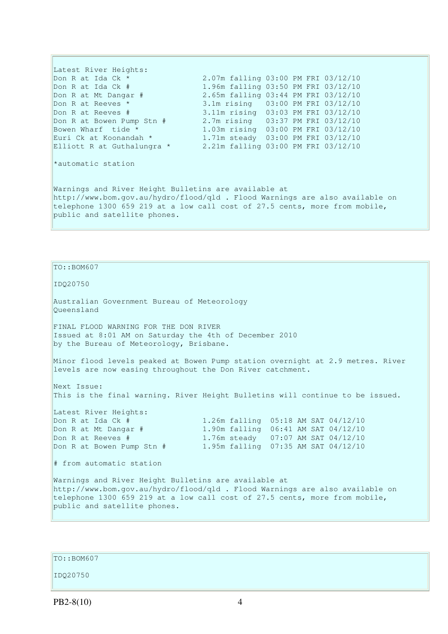Latest River Heights: Don R at Ida Ck \* 2.07m falling 03:00 PM FRI 03/12/10 Don R at Ida Ck # 1.96m falling 03:50 PM FRI 03/12/10 Don R at Mt Dangar # 2.65m falling 03:44 PM FRI 03/12/10 Don R at Reeves \* 3.1m rising 03:00 PM FRI 03/12/10 Don R at Reeves # 3.11m rising 03:03 PM FRI 03/12/10 Don R at Bowen Pump Stn  $\#$  2.7m rising 03:37 PM FRI 03/12/10<br>Bowen Wharf tide \* 1.03m rising 03:00 PM FRI 03/12/10 Bowen Wharf tide \* 1.03m rising 03:00 PM FRI 03/12/10 Euri Ck at Koonandah \* 1.71m steady 03:00 PM FRI 03/12/10 Elliott R at Guthalungra \* 2.21m falling 03:00 PM FRI 03/12/10 \*automatic station Warnings and River Height Bulletins are available at http://www.bom.gov.au/hydro/flood/qld . Flood Warnings are also available on telephone 1300 659 219 at a low call cost of 27.5 cents, more from mobile, public and satellite phones.

TO::BOM607

IDQ20750

Australian Government Bureau of Meteorology Queensland

FINAL FLOOD WARNING FOR THE DON RIVER Issued at 8:01 AM on Saturday the 4th of December 2010 by the Bureau of Meteorology, Brisbane.

Minor flood levels peaked at Bowen Pump station overnight at 2.9 metres. River levels are now easing throughout the Don River catchment.

Next Issue: This is the final warning. River Height Bulletins will continue to be issued.

Latest River Heights: Don R at Ida Ck # 1.26m falling 05:18 AM SAT 04/12/10 Don R at Mt Dangar # 1.90m falling 06:41 AM SAT 04/12/10 Don R at Reeves # 1.76m steady 07:07 AM SAT 04/12/10 Don R at Bowen Pump Stn # 1.95m falling 07:35 AM SAT 04/12/10 # from automatic station Warnings and River Height Bulletins are available at http://www.bom.gov.au/hydro/flood/qld . Flood Warnings are also available on telephone 1300 659 219 at a low call cost of 27.5 cents, more from mobile, public and satellite phones.

TO::BOM607

IDQ20750

PB2-8(10) 4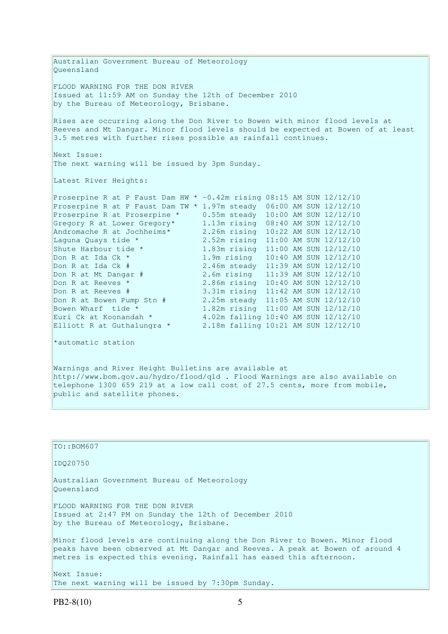Australian Government Bureau of Meteorology Queensland FLOOD WARNING FOR THE DON RIVER Issued at 11:59 AM on Sunday the 12th of December 2010 by the Bureau of Meteorology, Brisbane. Rises are occurring along the Don River to Bowen with minor flood levels at Reeves and Mt Dangar. Minor flood levels should be expected at Bowen of at least 3.5 metres with further rises possible as rainfall continues. Next Issue: The next warning will be issued by 3pm Sunday. Latest River Heights: Proserpine R at P Faust Dam HW \* -0.42m rising 08:15 AM SUN 12/12/10 Proserpine R at P Faust Dam TW \* 1.97m steady 06:00 AM SUN 12/12/10 Proserpine R at Proserpine \* 0.55m steady 10:00 AM SUN 12/12/10 Gregory R at Lower Gregory\* 1.13m rising 08:40 AM SUN 12/12/10 Andromache R at Jochheims\* 2.26m rising 10:22 AM SUN 12/12/10 Laguna Quays tide \* 2.52m rising 11:00 AM SUN 12/12/10 Shute Harbour tide \* 1.83m rising 11:00 AM SUN 12/12/10 Don R at Ida Ck \* 1.9m rising 10:40 AM SUN 12/12/10 Don R at Ida Ck # 2.46m steady 11:39 AM SUN 12/12/10 Don R at Mt Dangar # 2.6m rising 11:39 AM SUN 12/12/10 Don R at Reeves \* 2.86m rising 10:40 AM SUN 12/12/10 Don R at Reeves # 3.31m rising 11:42 AM SUN 12/12/10 Don R at Bowen Pump Stn # 2.25m steady 11:05 AM SUN 12/12/10 Bowen Wharf tide \* 1.82m rising 11:00 AM SUN 12/12/10 Euri Ck at Koonandah \* 4.02m falling 10:40 AM SUN 12/12/10 Elliott R at Guthalungra \* 2.18m falling 10:21 AM SUN 12/12/10 \*automatic station Warnings and River Height Bulletins are available at http://www.bom.gov.au/hydro/flood/qld . Flood Warnings are also available on telephone 1300 659 219 at a low call cost of 27.5 cents, more from mobile, public and satellite phones. TO::BOM607 IDQ20750 Australian Government Bureau of Meteorology

Next Issue:

Queensland

FLOOD WARNING FOR THE DON RIVER

by the Bureau of Meteorology, Brisbane.

Issued at 2:47 PM on Sunday the 12th of December 2010

The next warning will be issued by 7:30pm Sunday.

Minor flood levels are continuing along the Don River to Bowen. Minor flood peaks have been observed at Mt Dangar and Reeves. A peak at Bowen of around 4

metres is expected this evening. Rainfall has eased this afternoon.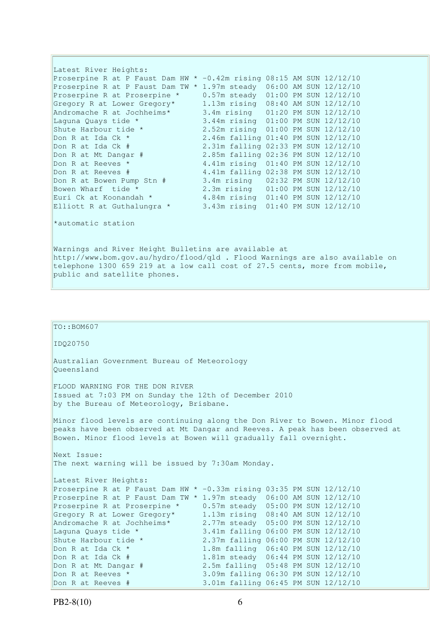Latest River Heights: Proserpine R at P Faust Dam HW \* -0.42m rising 08:15 AM SUN 12/12/10 Proserpine R at P Faust Dam TW \* 1.97m steady 06:00 AM SUN 12/12/10 Proserpine R at Proserpine \* 0.57m steady 01:00 PM SUN 12/12/10 Gregory R at Lower Gregory\* 1.13m rising 08:40 AM SUN 12/12/10 Andromache R at Jochheims\* 3.4m rising 01:20 PM SUN 12/12/10 Laguna Quays tide \* 3.44m rising 01:00 PM SUN 12/12/10 Shute Harbour tide \* 2.52m rising 01:00 PM SUN 12/12/10 Don R at Ida Ck \* 2.46m falling 01:40 PM SUN 12/12/10 Don R at Ida Ck # 2.31m falling 02:33 PM SUN 12/12/10 Don R at Mt Dangar # 2.85m falling 02:36 PM SUN 12/12/10 Don R at Reeves \* 4.41m rising 01:40 PM SUN 12/12/10<br>
Don R at Reeves # 4.41m falling 02:38 PM SUN 12/12/10 Don R at Reeves # 4.41m falling 02:38 PM SUN 12/12/10 Don R at Bowen Pump Stn # 3.4m rising 02:32 PM SUN 12/12/10 Bowen Wharf tide \* 2.3m rising 01:00 PM SUN 12/12/10 Euri Ck at Koonandah \* 4.84m rising 01:40 PM SUN 12/12/10 Elliott R at Guthalungra \* 3.43m rising 01:40 PM SUN 12/12/10 \*automatic station Warnings and River Height Bulletins are available at

http://www.bom.gov.au/hydro/flood/qld . Flood Warnings are also available on telephone 1300 659 219 at a low call cost of 27.5 cents, more from mobile, public and satellite phones.

### TO::BOM607 IDQ20750 Australian Government Bureau of Meteorology Queensland FLOOD WARNING FOR THE DON RIVER Issued at 7:03 PM on Sunday the 12th of December 2010 by the Bureau of Meteorology, Brisbane. Minor flood levels are continuing along the Don River to Bowen. Minor flood peaks have been observed at Mt Dangar and Reeves. A peak has been observed at Bowen. Minor flood levels at Bowen will gradually fall overnight. Next Issue: The next warning will be issued by 7:30am Monday. Latest River Heights: Proserpine R at P Faust Dam HW \* -0.33m rising 03:35 PM SUN 12/12/10 Proserpine R at P Faust Dam TW \* 1.97m steady 06:00 AM SUN 12/12/10 Proserpine R at Proserpine \* 0.57m steady 05:00 PM SUN 12/12/10 Gregory R at Lower Gregory\* 1.13m rising 08:40 AM SUN 12/12/10 Andromache R at Jochheims\* 2.77m steady 05:00 PM SUN 12/12/10 Laguna Quays tide \* 3.41m falling 06:00 PM SUN 12/12/10 Shute Harbour tide \* 2.37m falling 06:00 PM SUN 12/12/10 Don R at Ida Ck \* 1.8m falling 06:00 PM SUN 12/12/10<br>
Don R at Ida Ck # 1.8lm steady 06:44 PM SUN 12/12/10<br>
Don R at Mt Dangar # 1.8lm steady 06:44 PM SUN 12/12/10 1.81m steady 06:44 PM SUN 12/12/10<br>2.5m falling 05:48 PM SUN 12/12/10 Don R at Mt Dangar # 2.5m falling 05:48 PM SUN 12/12/10 Don R at Reeves \* 3.09m falling 06:30 PM SUN 12/12/10 Don R at Reeves # 3.01m falling 06:45 PM SUN 12/12/10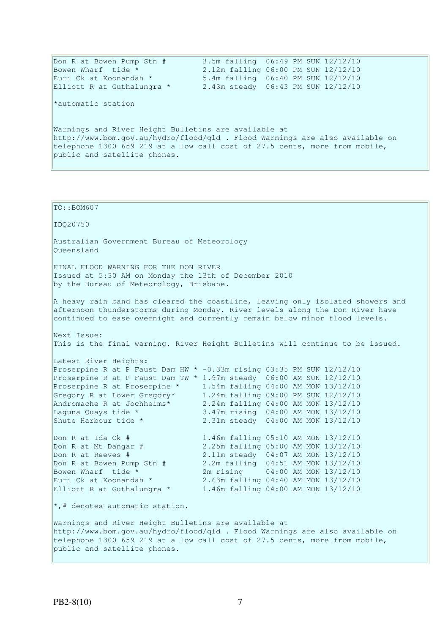Don R at Bowen Pump Stn # 3.5m falling 06:49 PM SUN 12/12/10 Bowen Wharf tide \* 2.12m falling 06:00 PM SUN 12/12/10 Euri Ck at Koonandah \* 5.4m falling 06:40 PM SUN 12/12/10 Elliott R at Guthalungra \* 2.43m steady 06:43 PM SUN 12/12/10 \*automatic station Warnings and River Height Bulletins are available at http://www.bom.gov.au/hydro/flood/qld . Flood Warnings are also available on telephone 1300 659 219 at a low call cost of 27.5 cents, more from mobile, public and satellite phones.

TO::BOM607 IDQ20750 Australian Government Bureau of Meteorology Queensland FINAL FLOOD WARNING FOR THE DON RIVER Issued at 5:30 AM on Monday the 13th of December 2010 by the Bureau of Meteorology, Brisbane. A heavy rain band has cleared the coastline, leaving only isolated showers and afternoon thunderstorms during Monday. River levels along the Don River have continued to ease overnight and currently remain below minor flood levels. Next Issue: This is the final warning. River Height Bulletins will continue to be issued. Latest River Heights: Proserpine R at P Faust Dam HW \* -0.33m rising 03:35 PM SUN 12/12/10 Proserpine R at P Faust Dam TW \* 1.97m steady 06:00 AM SUN 12/12/10 Proserpine R at Proserpine \* 1.54m falling 04:00 AM MON 13/12/10 Gregory R at Lower Gregory\* 1.24m falling 09:00 PM SUN 12/12/10 Andromache R at Jochheims\* 2.24m falling 04:00 AM MON 13/12/10 Laguna Quays tide \* 3.47m rising 04:00 AM MON 13/12/10 Shute Harbour tide \* 2.31m steady 04:00 AM MON 13/12/10 Don R at Ida Ck # 1.46m falling 05:10 AM MON 13/12/10<br>
Don R at Mt Dangar # 2.25m falling 05:00 AM MON 13/12/10 2.25m falling 05:00 AM MON 13/12/10 Don R at Reeves # 2.11m steady 04:07 AM MON 13/12/10 Don R at Bowen Pump Stn # 2.2m falling 04:51 AM MON 13/12/10 Bowen Wharf tide \* 2m rising 04:00 AM MON 13/12/10 Euri Ck at Koonandah \* 2.63m falling 04:40 AM MON 13/12/10 Elliott R at Guthalungra \* 1.46m falling 04:00 AM MON 13/12/10  $\star$ ,# denotes automatic station. Warnings and River Height Bulletins are available at http://www.bom.gov.au/hydro/flood/qld . Flood Warnings are also available on telephone 1300 659 219 at a low call cost of 27.5 cents, more from mobile, public and satellite phones.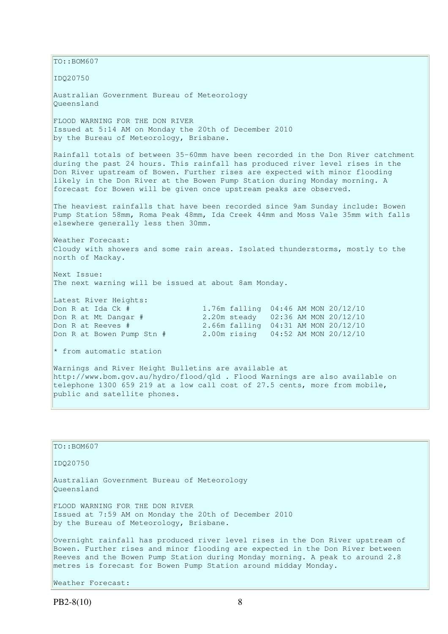$TO:$ : BOM607

IDQ20750

Australian Government Bureau of Meteorology Queensland

FLOOD WARNING FOR THE DON RIVER Issued at 5:14 AM on Monday the 20th of December 2010 by the Bureau of Meteorology, Brisbane.

Rainfall totals of between 35-60mm have been recorded in the Don River catchment during the past 24 hours. This rainfall has produced river level rises in the Don River upstream of Bowen. Further rises are expected with minor flooding likely in the Don River at the Bowen Pump Station during Monday morning. A forecast for Bowen will be given once upstream peaks are observed.

The heaviest rainfalls that have been recorded since 9am Sunday include: Bowen Pump Station 58mm, Roma Peak 48mm, Ida Creek 44mm and Moss Vale 35mm with falls elsewhere generally less then 30mm.

Weather Forecast: Cloudy with showers and some rain areas. Isolated thunderstorms, mostly to the north of Mackay.

Next Issue: The next warning will be issued at about 8am Monday.

Latest River Heights: Don R at Ida Ck # 1.76m falling 04:46 AM MON 20/12/10 Don R at Mt Dangar # 2.20m steady 02:36 AM MON 20/12/10 Don R at Reeves # 2.66m falling 04:31 AM MON 20/12/10 Don R at Bowen Pump Stn # 2.00m rising 04:52 AM MON 20/12/10

 $*$  from automatic station

Warnings and River Height Bulletins are available at http://www.bom.gov.au/hydro/flood/qld . Flood Warnings are also available on telephone 1300 659 219 at a low call cost of 27.5 cents, more from mobile, public and satellite phones.

TO::BOM607 IDQ20750 Australian Government Bureau of Meteorology Queensland FLOOD WARNING FOR THE DON RIVER Issued at 7:59 AM on Monday the 20th of December 2010 by the Bureau of Meteorology, Brisbane. Overnight rainfall has produced river level rises in the Don River upstream of Bowen. Further rises and minor flooding are expected in the Don River between Reeves and the Bowen Pump Station during Monday morning. A peak to around 2.8 metres is forecast for Bowen Pump Station around midday Monday. Weather Forecast:

PB2-8(10) 8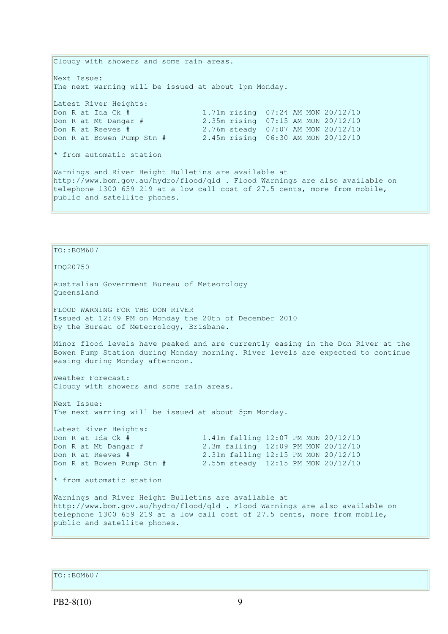Cloudy with showers and some rain areas. Next Issue: The next warning will be issued at about 1pm Monday. Latest River Heights: Don R at Ida Ck # 1.71m rising 07:24 AM MON 20/12/10<br>Don R at Mt Dangar # 2.35m rising 07:15 AM MON 20/12/10 2.35m rising 07:15 AM MON 20/12/10 Don R at Reeves # 2.76m steady 07:07 AM MON 20/12/10 Don R at Bowen Pump Stn # 2.45m rising 06:30 AM MON 20/12/10 \* from automatic station Warnings and River Height Bulletins are available at http://www.bom.gov.au/hydro/flood/qld . Flood Warnings are also available on telephone 1300 659 219 at a low call cost of 27.5 cents, more from mobile, public and satellite phones.

TO::BOM607 IDQ20750 Australian Government Bureau of Meteorology Queensland FLOOD WARNING FOR THE DON RIVER Issued at 12:49 PM on Monday the 20th of December 2010 by the Bureau of Meteorology, Brisbane. Minor flood levels have peaked and are currently easing in the Don River at the Bowen Pump Station during Monday morning. River levels are expected to continue easing during Monday afternoon. Weather Forecast: Cloudy with showers and some rain areas. Next Issue: The next warning will be issued at about 5pm Monday. Latest River Heights: Don R at Ida Ck # 1.41m falling 12:07 PM MON 20/12/10 Don R at Mt Dangar # 2.3m falling 12:09 PM MON 20/12/10 Don R at Reeves # 2.31m falling 12:15 PM MON 20/12/10 Don R at Bowen Pump Stn # 2.55m steady 12:15 PM MON 20/12/10 \* from automatic station Warnings and River Height Bulletins are available at http://www.bom.gov.au/hydro/flood/qld . Flood Warnings are also available on telephone 1300 659 219 at a low call cost of 27.5 cents, more from mobile, public and satellite phones.

TO::BOM607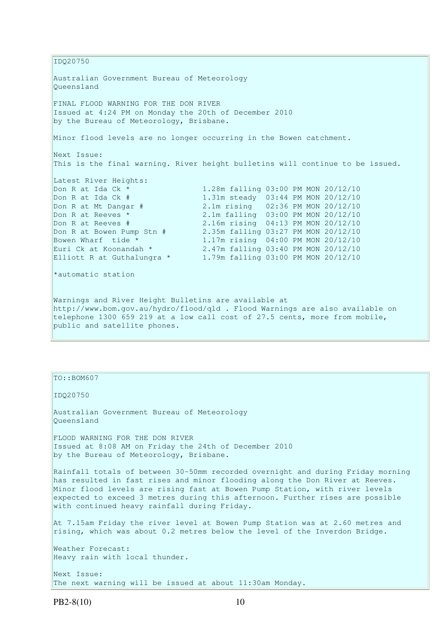IDQ20750 Australian Government Bureau of Meteorology Queensland FINAL FLOOD WARNING FOR THE DON RIVER Issued at 4:24 PM on Monday the 20th of December 2010 by the Bureau of Meteorology, Brisbane. Minor flood levels are no longer occurring in the Bowen catchment. Next Issue: This is the final warning. River height bulletins will continue to be issued. Latest River Heights: Don R at Ida Ck \* 1.28m falling 03:00 PM MON 20/12/10<br>
Don R at Ida Ck # 1.31m steady 03:44 PM MON 20/12/10 1.31m steady 03:44 PM MON 20/12/10 Don R at Mt Dangar # 2.1m rising 02:36 PM MON 20/12/10<br>
Don R at Reeves \* 2.1m falling 03:00 PM MON 20/12/10 2.1m falling 03:00 PM MON 20/12/10 Don R at Reeves # 2.16m rising 04:13 PM MON 20/12/10 Don R at Bowen Pump Stn # 2.35m falling 03:27 PM MON 20/12/10 Bowen Wharf tide \*  $1.17$ m rising 04:00 PM MON 20/12/10<br>Euri Ck at Koonandah \*  $2.47$ m falling 03:40 PM MON 20/12/10 Euri Ck at Koonandah \* 2.47m falling 03:40 PM MON 20/12/10 Elliott R at Guthalungra \* 1.79m falling 03:00 PM MON 20/12/10 \*automatic station Warnings and River Height Bulletins are available at http://www.bom.gov.au/hydro/flood/qld . Flood Warnings are also available on telephone 1300 659 219 at a low call cost of 27.5 cents, more from mobile, public and satellite phones.

TO::BOM607

IDQ20750

Australian Government Bureau of Meteorology Queensland

FLOOD WARNING FOR THE DON RIVER Issued at 8:08 AM on Friday the 24th of December 2010 by the Bureau of Meteorology, Brisbane.

Rainfall totals of between 30-50mm recorded overnight and during Friday morning has resulted in fast rises and minor flooding along the Don River at Reeves. Minor flood levels are rising fast at Bowen Pump Station, with river levels expected to exceed 3 metres during this afternoon. Further rises are possible with continued heavy rainfall during Friday.

At 7.15am Friday the river level at Bowen Pump Station was at 2.60 metres and rising, which was about 0.2 metres below the level of the Inverdon Bridge.

Weather Forecast: Heavy rain with local thunder.

Next Issue: The next warning will be issued at about 11:30am Monday.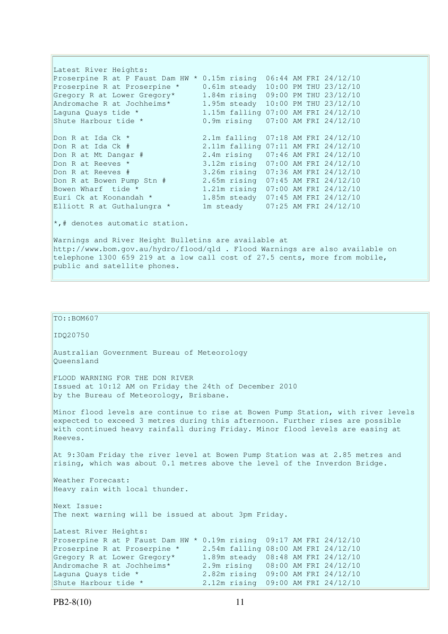Latest River Heights: Proserpine R at P Faust Dam HW \* 0.15m rising 06:44 AM FRI 24/12/10 Proserpine R at Proserpine \* 0.61m steady 10:00 PM THU 23/12/10 Gregory R at Lower Gregory\* 1.84m rising 09:00 PM THU 23/12/10 Andromache R at Jochheims\* 1.95m steady 10:00 PM THU 23/12/10 Laguna Quays tide \* 1.15m falling 07:00 AM FRI 24/12/10 Shute Harbour tide \* 0.9m rising 07:00 AM FRI 24/12/10 Don R at Ida Ck \* 2.1m falling 07:18 AM FRI 24/12/10 Don R at Ida Ck # 2.11m falling 07:11 AM FRI 24/12/10<br>Don R at Mt Dangar # 2.4m rising 07:46 AM FRI 24/12/10 2.4m rising 07:46 AM FRI 24/12/10 Don R at Reeves \* 3.12m rising 07:00 AM FRI 24/12/10<br>Don R at Reeves # 3.26m rising 07:36 AM FRI 24/12/10 Don R at Reeves # 3.26m rising 07:36 AM FRI 24/12/10 Don R at Bowen Pump Stn # 2.65m rising 07:45 AM FRI 24/12/10 Bowen Wharf tide \* 1.21m rising 07:00 AM FRI 24/12/10 Euri Ck at Koonandah \* 1.85m steady 07:45 AM FRI 24/12/10 Elliott R at Guthalungra \* 1m steady 07:25 AM FRI 24/12/10

 $\star$ ,# denotes automatic station.

Warnings and River Height Bulletins are available at http://www.bom.gov.au/hydro/flood/qld . Flood Warnings are also available on telephone 1300 659 219 at a low call cost of 27.5 cents, more from mobile, public and satellite phones.

```
IDQ20750 
Australian Government Bureau of Meteorology 
Queensland 
FLOOD WARNING FOR THE DON RIVER 
Issued at 10:12 AM on Friday the 24th of December 2010 
by the Bureau of Meteorology, Brisbane.
Minor flood levels are continue to rise at Bowen Pump Station, with river levels 
expected to exceed 3 metres during this afternoon. Further rises are possible 
with continued heavy rainfall during Friday. Minor flood levels are easing at
Reeves.
At 9:30am Friday the river level at Bowen Pump Station was at 2.85 metres and 
rising, which was about 0.1 metres above the level of the Inverdon Bridge. 
Weather Forecast: 
Heavy rain with local thunder. 
Next Issue: 
The next warning will be issued at about 3pm Friday. 
Latest River Heights: 
Proserpine R at P Faust Dam HW * 0.19m rising 09:17 AM FRI 24/12/10 
Proserpine R at Proserpine * 2.54m falling 08:00 AM FRI 24/12/10 
Gregory R at Lower Gregory* 1.89m steady 08:48 AM FRI 24/12/10 
Andromache R at Jochheims* 2.9m rising 08:00 AM FRI 24/12/10 
Laguna Quays tide * 2.82m rising 09:00 AM FRI 24/12/10 
Shute Harbour tide * 2.12m rising 09:00 AM FRI 24/12/10
```
 $TO: : BOM607$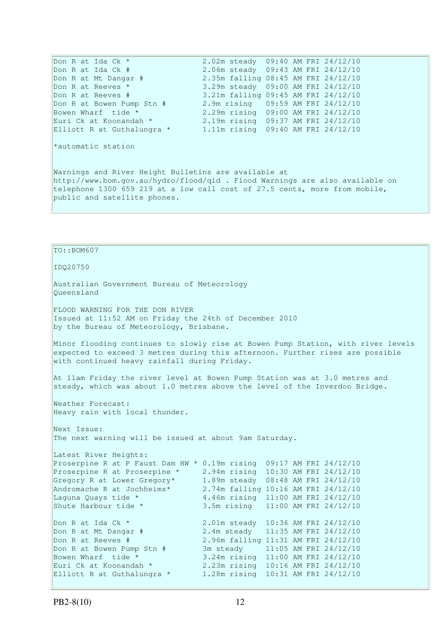Don R at Ida Ck \* 2.02m steady 09:40 AM FRI 24/12/10 Don R at Ida Ck # 2.06m steady 09:43 AM FRI 24/12/10 Don R at Mt Dangar # 2.35m falling 08:45 AM FRI 24/12/10 Don R at Reeves \* 3.29m steady 09:00 AM FRI 24/12/10 Don R at Reeves # 3.21m falling 09:45 AM FRI 24/12/10 Don R at Bowen Pump Stn  $#$  2.9m rising 09:59 AM FRI 24/12/10 Bowen Wharf tide \* 2.29m rising 09:00 AM FRI 24/12/10 Euri Ck at Koonandah \* 2.19m rising 09:37 AM FRI 24/12/10 Elliott R at Guthalungra \* 1.11m rising 09:40 AM FRI 24/12/10

\*automatic station

Warnings and River Height Bulletins are available at http://www.bom.gov.au/hydro/flood/qld . Flood Warnings are also available on telephone 1300 659 219 at a low call cost of 27.5 cents, more from mobile, public and satellite phones.

TO::BOM607 IDQ20750 Australian Government Bureau of Meteorology Queensland FLOOD WARNING FOR THE DON RIVER Issued at 11:52 AM on Friday the 24th of December 2010 by the Bureau of Meteorology, Brisbane. Minor flooding continues to slowly rise at Bowen Pump Station, with river levels expected to exceed 3 metres during this afternoon. Further rises are possible with continued heavy rainfall during Friday. At 11am Friday the river level at Bowen Pump Station was at 3.0 metres and steady, which was about 1.0 metres above the level of the Inverdon Bridge. Weather Forecast: Heavy rain with local thunder. Next Issue: The next warning will be issued at about 9am Saturday. Latest River Heights: Proserpine R at P Faust Dam HW \* 0.19m rising 09:17 AM FRI 24/12/10 Proserpine R at Proserpine \* 2.94m rising 10:30 AM FRI 24/12/10 Gregory R at Lower Gregory\* 1.89m steady 08:48 AM FRI 24/12/10 Andromache R at Jochheims\* 2.74m falling 10:16 AM FRI 24/12/10 Laguna Quays tide \* 4.46m rising 11:00 AM FRI 24/12/10 Shute Harbour tide \* 3.5m rising 11:00 AM FRI 24/12/10 Don R at Ida Ck \* 2.01m steady 10:36 AM FRI 24/12/10<br>
Don R at Mt Dangar # 2.4m steady 11:35 AM FRI 24/12/10 2.4m steady 11:35 AM FRI 24/12/10 Don R at Reeves # 2.96m falling 11:31 AM FRI 24/12/10 Don R at Bowen Pump Stn # 3m steady 11:05 AM FRI 24/12/10 Bowen Wharf tide \* 3.24m rising 11:00 AM FRI 24/12/10 Euri Ck at Koonandah \* 2.23m rising 10:16 AM FRI 24/12/10 Elliott R at Guthalungra \* 1.28m rising 10:31 AM FRI 24/12/10 Elliott R at Guthalungra \*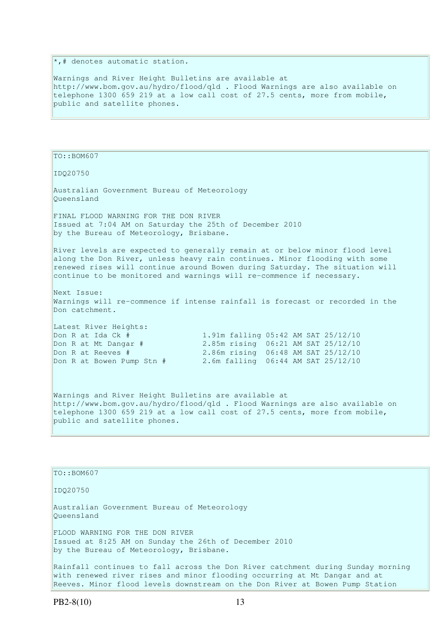$\ast$ , # denotes automatic station.

Warnings and River Height Bulletins are available at http://www.bom.gov.au/hydro/flood/qld . Flood Warnings are also available on telephone 1300 659 219 at a low call cost of 27.5 cents, more from mobile, public and satellite phones.

TO::BOM607 IDQ20750 Australian Government Bureau of Meteorology Queensland FINAL FLOOD WARNING FOR THE DON RIVER Issued at 7:04 AM on Saturday the 25th of December 2010 by the Bureau of Meteorology, Brisbane. River levels are expected to generally remain at or below minor flood level along the Don River, unless heavy rain continues. Minor flooding with some renewed rises will continue around Bowen during Saturday. The situation will continue to be monitored and warnings will re-commence if necessary. Next Issue: Warnings will re-commence if intense rainfall is forecast or recorded in the Don catchment. Latest River Heights: Don R at Ida Ck # 1.91m falling 05:42 AM SAT 25/12/10 Don R at Mt Dangar # 2.85m rising 06:21 AM SAT 25/12/10<br>
Don R at Reeves # 2.86m rising 06:48 AM SAT 25/12/10 2.86m rising 06:48 AM SAT 25/12/10 Don R at Bowen Pump Stn # 2.6m falling 06:44 AM SAT 25/12/10 Warnings and River Height Bulletins are available at http://www.bom.gov.au/hydro/flood/qld . Flood Warnings are also available on telephone 1300 659 219 at a low call cost of 27.5 cents, more from mobile, public and satellite phones.

TO::BOM607 IDQ20750 Australian Government Bureau of Meteorology Queensland FLOOD WARNING FOR THE DON RIVER Issued at 8:25 AM on Sunday the 26th of December 2010 by the Bureau of Meteorology, Brisbane. Rainfall continues to fall across the Don River catchment during Sunday morning with renewed river rises and minor flooding occurring at Mt Dangar and at Reeves. Minor flood levels downstream on the Don River at Bowen Pump Station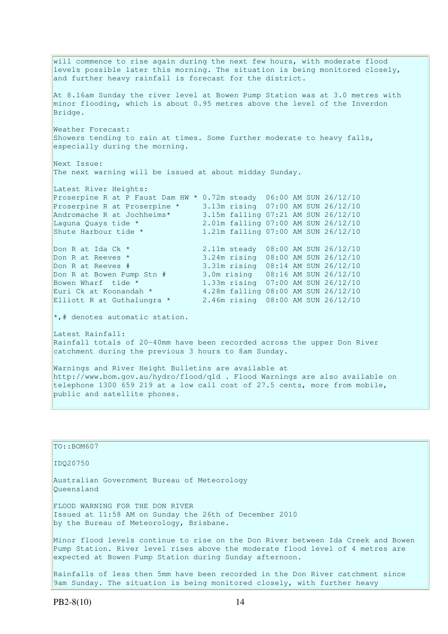will commence to rise again during the next few hours, with moderate flood levels possible later this morning. The situation is being monitored closely, and further heavy rainfall is forecast for the district. At 8.16am Sunday the river level at Bowen Pump Station was at 3.0 metres with minor flooding, which is about 0.95 metres above the level of the Inverdon Bridge. Weather Forecast: Showers tending to rain at times. Some further moderate to heavy falls, especially during the morning. Next Issue: The next warning will be issued at about midday Sunday. Latest River Heights: Proserpine R at P Faust Dam HW \* 0.72m steady 06:00 AM SUN 26/12/10 Proserpine R at Proserpine \* 3.13m rising 07:00 AM SUN 26/12/10 Andromache R at Jochheims\* 3.15m falling 07:21 AM SUN 26/12/10 Laguna Quays tide \* 2.01m falling 07:00 AM SUN 26/12/10 Shute Harbour tide \* 1.21m falling 07:00 AM SUN 26/12/10 Don R at Ida Ck \* 2.11m steady 08:00 AM SUN 26/12/10 Don R at Reeves \* 3.24m rising 08:00 AM SUN 26/12/10 Don R at Reeves # 3.31m rising 08:14 AM SUN 26/12/10 Don R at Bowen Pump Stn # 3.0m rising 08:16 AM SUN 26/12/10 Bowen Wharf tide \* 1.33m rising 07:00 AM SUN 26/12/10 Euri Ck at Koonandah \* 4.28m falling 08:00 AM SUN 26/12/10 Elliott R at Guthalungra \* 2.46m rising 08:00 AM SUN 26/12/10 \*,# denotes automatic station. Latest Rainfall: Rainfall totals of 20-40mm have been recorded across the upper Don River catchment during the previous 3 hours to 8am Sunday. Warnings and River Height Bulletins are available at http://www.bom.gov.au/hydro/flood/qld . Flood Warnings are also available on telephone 1300 659 219 at a low call cost of 27.5 cents, more from mobile, public and satellite phones.

TO::BOM607 IDQ20750 Australian Government Bureau of Meteorology Queensland FLOOD WARNING FOR THE DON RIVER Issued at 11:58 AM on Sunday the 26th of December 2010 by the Bureau of Meteorology, Brisbane. Minor flood levels continue to rise on the Don River between Ida Creek and Bowen Pump Station. River level rises above the moderate flood level of 4 metres are expected at Bowen Pump Station during Sunday afternoon. Rainfalls of less then 5mm have been recorded in the Don River catchment since 9am Sunday. The situation is being monitored closely, with further heavy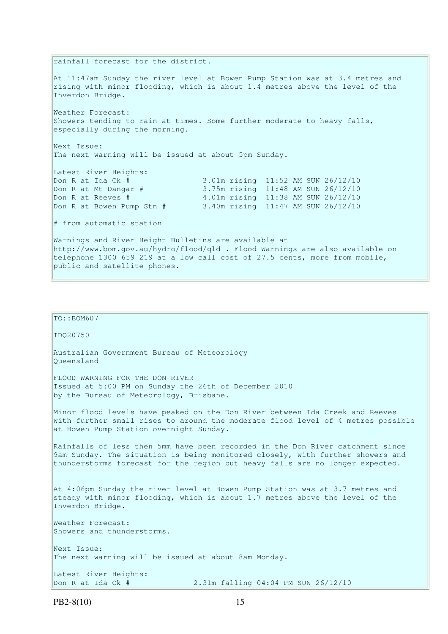rainfall forecast for the district. At 11:47am Sunday the river level at Bowen Pump Station was at 3.4 metres and rising with minor flooding, which is about 1.4 metres above the level of the Inverdon Bridge. Weather Forecast: Showers tending to rain at times. Some further moderate to heavy falls, especially during the morning. Next Issue: The next warning will be issued at about 5pm Sunday. Latest River Heights: Don R at Ida Ck # 3.01m rising 11:52 AM SUN 26/12/10 Don R at Mt Dangar # 3.75m rising 11:48 AM SUN 26/12/10 Don R at Reeves # 4.01m rising 11:38 AM SUN 26/12/10 Don R at Bowen Pump Stn # 3.40m rising 11:47 AM SUN 26/12/10 # from automatic station Warnings and River Height Bulletins are available at http://www.bom.gov.au/hydro/flood/qld . Flood Warnings are also available on telephone 1300 659 219 at a low call cost of 27.5 cents, more from mobile, public and satellite phones.

 $TO:$ : BOM607 IDQ20750 Australian Government Bureau of Meteorology Queensland FLOOD WARNING FOR THE DON RIVER Issued at 5:00 PM on Sunday the 26th of December 2010 by the Bureau of Meteorology, Brisbane. Minor flood levels have peaked on the Don River between Ida Creek and Reeves with further small rises to around the moderate flood level of 4 metres possible at Bowen Pump Station overnight Sunday. Rainfalls of less then 5mm have been recorded in the Don River catchment since 9am Sunday. The situation is being monitored closely, with further showers and thunderstorms forecast for the region but heavy falls are no longer expected. At 4:06pm Sunday the river level at Bowen Pump Station was at 3.7 metres and steady with minor flooding, which is about 1.7 metres above the level of the Inverdon Bridge. Weather Forecast: Showers and thunderstorms. Next Issue: The next warning will be issued at about 8am Monday. Latest River Heights: Don R at Ida Ck # 2.31m falling 04:04 PM SUN 26/12/10

```
PB2-8(10) 15
```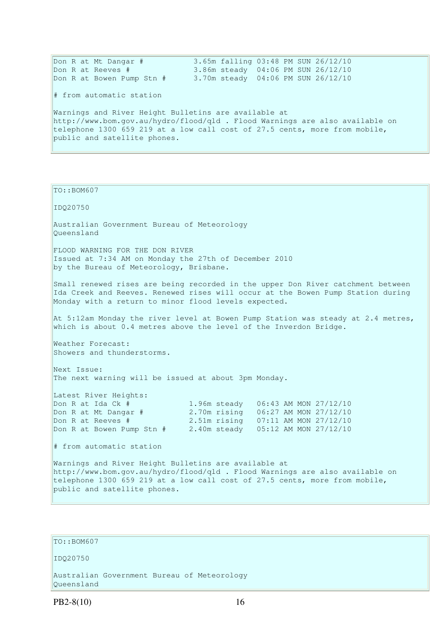| Don R at Mt Dangar #                                                         | 3.65m falling 03:48 PM SUN 26/12/10 |  |  |
|------------------------------------------------------------------------------|-------------------------------------|--|--|
| Don R at Reeves #                                                            | 3.86m steady 04:06 PM SUN 26/12/10  |  |  |
| Don R at Bowen Pump Stn #                                                    | 3.70m steady 04:06 PM SUN 26/12/10  |  |  |
| # from automatic station                                                     |                                     |  |  |
| Warnings and River Height Bulletins are available at                         |                                     |  |  |
| http://www.bom.gov.au/hydro/flood/qld . Flood Warnings are also available on |                                     |  |  |
| telephone 1300 659 219 at a low call cost of 27.5 cents, more from mobile,   |                                     |  |  |
| public and satellite phones.                                                 |                                     |  |  |
|                                                                              |                                     |  |  |

TO::BOM607

IDQ20750 Australian Government Bureau of Meteorology Queensland FLOOD WARNING FOR THE DON RIVER Issued at 7:34 AM on Monday the 27th of December 2010 by the Bureau of Meteorology, Brisbane. Small renewed rises are being recorded in the upper Don River catchment between Ida Creek and Reeves. Renewed rises will occur at the Bowen Pump Station during Monday with a return to minor flood levels expected. At 5:12am Monday the river level at Bowen Pump Station was steady at 2.4 metres, which is about 0.4 metres above the level of the Inverdon Bridge. Weather Forecast: Showers and thunderstorms. Next Issue: The next warning will be issued at about 3pm Monday. Latest River Heights: Don R at Ida Ck # 1.96m steady 06:43 AM MON 27/12/10 Don R at Mt Dangar # 2.70m rising 06:27 AM MON 27/12/10 Don R at Reeves # 2.51m rising 07:11 AM MON 27/12/10 Don R at Bowen Pump Stn # 2.40m steady 05:12 AM MON 27/12/10 # from automatic station Warnings and River Height Bulletins are available at http://www.bom.gov.au/hydro/flood/qld . Flood Warnings are also available on telephone 1300 659 219 at a low call cost of 27.5 cents, more from mobile, public and satellite phones.

#### TO::BOM607

IDQ20750

Australian Government Bureau of Meteorology Queensland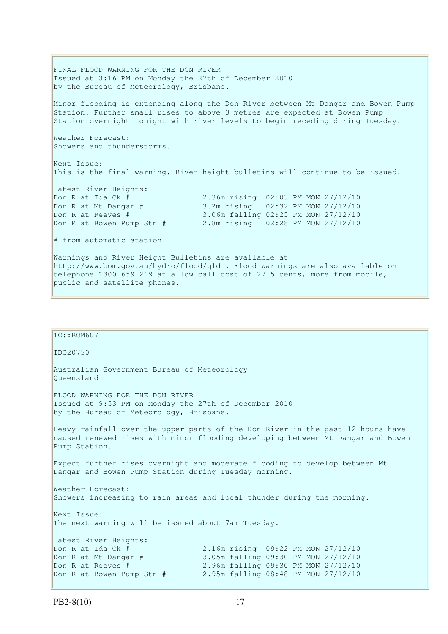FINAL FLOOD WARNING FOR THE DON RIVER Issued at 3:16 PM on Monday the 27th of December 2010 by the Bureau of Meteorology, Brisbane. Minor flooding is extending along the Don River between Mt Dangar and Bowen Pump Station. Further small rises to above 3 metres are expected at Bowen Pump Station overnight tonight with river levels to begin receding during Tuesday. Weather Forecast: Showers and thunderstorms. Next Issue: This is the final warning. River height bulletins will continue to be issued. Latest River Heights: Don R at Ida Ck # 2.36m rising 02:03 PM MON 27/12/10 Don R at Mt Dangar # 3.2m rising 02:32 PM MON 27/12/10 Don R at Reeves # 3.06m falling 02:25 PM MON 27/12/10 Don R at Bowen Pump Stn # 2.8m rising 02:28 PM MON 27/12/10 # from automatic station Warnings and River Height Bulletins are available at http://www.bom.gov.au/hydro/flood/qld . Flood Warnings are also available on telephone 1300 659 219 at a low call cost of 27.5 cents, more from mobile, public and satellite phones.

```
TO::BOM607 
IDQ20750 
Australian Government Bureau of Meteorology 
Queensland 
FLOOD WARNING FOR THE DON RIVER 
Issued at 9:53 PM on Monday the 27th of December 2010 
by the Bureau of Meteorology, Brisbane.
Heavy rainfall over the upper parts of the Don River in the past 12 hours have 
caused renewed rises with minor flooding developing between Mt Dangar and Bowen 
Pump Station. 
Expect further rises overnight and moderate flooding to develop between Mt 
Dangar and Bowen Pump Station during Tuesday morning. 
Weather Forecast: 
Showers increasing to rain areas and local thunder during the morning.
Next Issue: 
The next warning will be issued about 7am Tuesday. 
Latest River Heights: 
Don R at Ida Ck # 2.16m rising 09:22 PM MON 27/12/10 
Don R at Mt Dangar # 3.05m falling 09:30 PM MON 27/12/10 
Don R at Reeves # 2.96m falling 09:30 PM MON 27/12/10 
Don R at Bowen Pump Stn # 2.95m falling 08:48 PM MON 27/12/10
```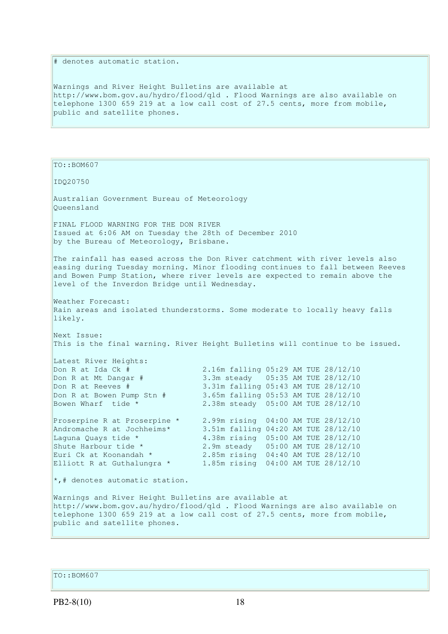# denotes automatic station.

Warnings and River Height Bulletins are available at http://www.bom.gov.au/hydro/flood/qld . Flood Warnings are also available on telephone 1300 659 219 at a low call cost of 27.5 cents, more from mobile, public and satellite phones.

TO::BOM607 IDQ20750 Australian Government Bureau of Meteorology Queensland FINAL FLOOD WARNING FOR THE DON RIVER Issued at 6:06 AM on Tuesday the 28th of December 2010 by the Bureau of Meteorology, Brisbane. The rainfall has eased across the Don River catchment with river levels also easing during Tuesday morning. Minor flooding continues to fall between Reeves and Bowen Pump Station, where river levels are expected to remain above the level of the Inverdon Bridge until Wednesday. Weather Forecast: Rain areas and isolated thunderstorms. Some moderate to locally heavy falls likely. Next Issue: This is the final warning. River Height Bulletins will continue to be issued. Latest River Heights: Don R at Ida Ck # 2.16m falling 05:29 AM TUE 28/12/10 Don R at Mt Dangar # 3.3m steady 05:35 AM TUE 28/12/10 Don R at Reeves # 3.31m falling 05:43 AM TUE 28/12/10 Don R at Bowen Pump Stn # 3.65m falling 05:53 AM TUE 28/12/10 Bowen Wharf tide \* 2.38m steady 05:00 AM TUE 28/12/10 Proserpine R at Proserpine \* 2.99m rising 04:00 AM TUE 28/12/10 Andromache R at Jochheims\* 3.51m falling 04:20 AM TUE 28/12/10 Laguna Quays tide \* 4.38m rising 05:00 AM TUE 28/12/10 Shute Harbour tide \* 2.9m steady 05:00 AM TUE 28/12/10<br>
Euri Ck at Koonandah \* 2.85m rising 04:40 AM TUE 28/12/10 2.85m rising 04:40 AM TUE 28/12/10 Elliott R at Guthalungra \* 1.85m rising 04:00 AM TUE 28/12/10  $\star$ ,# denotes automatic station. Warnings and River Height Bulletins are available at http://www.bom.gov.au/hydro/flood/qld . Flood Warnings are also available on telephone 1300 659 219 at a low call cost of 27.5 cents, more from mobile, public and satellite phones.

TO::BOM607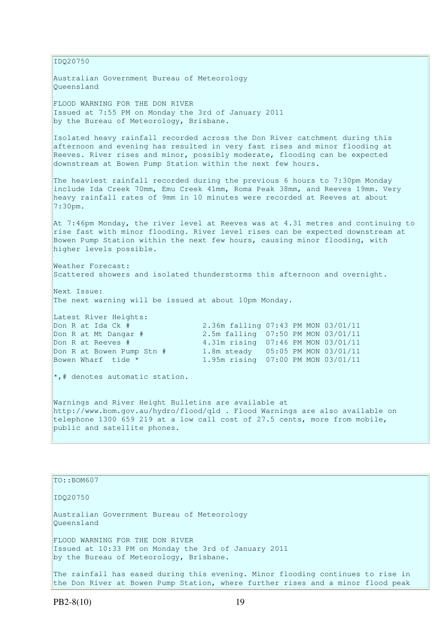IDQ20750 Australian Government Bureau of Meteorology Queensland FLOOD WARNING FOR THE DON RIVER Issued at 7:55 PM on Monday the 3rd of January 2011 by the Bureau of Meteorology, Brisbane. Isolated heavy rainfall recorded across the Don River catchment during this afternoon and evening has resulted in very fast rises and minor flooding at Reeves. River rises and minor, possibly moderate, flooding can be expected downstream at Bowen Pump Station within the next few hours. The heaviest rainfall recorded during the previous 6 hours to 7:30pm Monday include Ida Creek 70mm, Emu Creek 41mm, Roma Peak 38mm, and Reeves 19mm. Very heavy rainfall rates of 9mm in 10 minutes were recorded at Reeves at about  $7:30$ pm. At 7:46pm Monday, the river level at Reeves was at 4.31 metres and continuing to rise fast with minor flooding. River level rises can be expected downstream at Bowen Pump Station within the next few hours, causing minor flooding, with higher levels possible. Weather Forecast: Scattered showers and isolated thunderstorms this afternoon and overnight. Next Issue: The next warning will be issued at about 10pm Monday. Latest River Heights: Don R at Ida Ck # 2.36m falling 07:43 PM MON 03/01/11 Don R at Mt Dangar # 2.5m falling 07:50 PM MON 03/01/11 Don R at Reeves # 4.31m rising 07:46 PM MON 03/01/11 Don R at Bowen Pump Stn # 1.8m steady 05:05 PM MON 03/01/11 Bowen Wharf tide \* 1.95m rising 07:00 PM MON 03/01/11 \*,# denotes automatic station. Warnings and River Height Bulletins are available at http://www.bom.gov.au/hydro/flood/qld . Flood Warnings are also available on telephone 1300 659 219 at a low call cost of 27.5 cents, more from mobile, public and satellite phones.

TO::BOM607

IDQ20750

Australian Government Bureau of Meteorology Queensland FLOOD WARNING FOR THE DON RIVER Issued at 10:33 PM on Monday the 3rd of January 2011 by the Bureau of Meteorology, Brisbane.

The rainfall has eased during this evening. Minor flooding continues to rise in the Don River at Bowen Pump Station, where further rises and a minor flood peak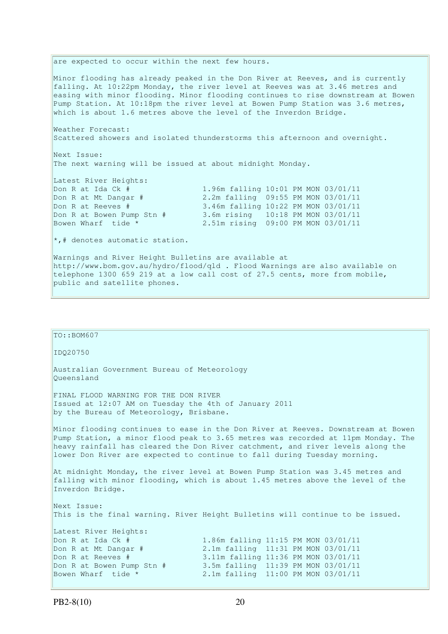are expected to occur within the next few hours. Minor flooding has already peaked in the Don River at Reeves, and is currently falling. At 10:22pm Monday, the river level at Reeves was at 3.46 metres and easing with minor flooding. Minor flooding continues to rise downstream at Bowen Pump Station. At 10:18pm the river level at Bowen Pump Station was 3.6 metres, which is about 1.6 metres above the level of the Inverdon Bridge. Weather Forecast: Scattered showers and isolated thunderstorms this afternoon and overnight. Next Issue: The next warning will be issued at about midnight Monday. Latest River Heights: Don R at Ida Ck # 1.96m falling 10:01 PM MON 03/01/11<br>
Don R at Mt Dangar # 2.2m falling 09:55 PM MON 03/01/11 2.2m falling 09:55 PM MON 03/01/11 Don R at Reeves # 3.46m falling 10:22 PM MON 03/01/11 Don R at Bowen Pump Stn # 3.6m rising 10:18 PM MON 03/01/11 Bowen Wharf tide \* 2.51m rising 09:00 PM MON 03/01/11 \*,# denotes automatic station. Warnings and River Height Bulletins are available at http://www.bom.gov.au/hydro/flood/qld . Flood Warnings are also available on telephone 1300 659 219 at a low call cost of 27.5 cents, more from mobile, public and satellite phones.

```
TO::BOM607 
IDQ20750 
Australian Government Bureau of Meteorology 
Queensland 
FINAL FLOOD WARNING FOR THE DON RIVER 
Issued at 12:07 AM on Tuesday the 4th of January 2011 
by the Bureau of Meteorology, Brisbane.
Minor flooding continues to ease in the Don River at Reeves. Downstream at Bowen 
Pump Station, a minor flood peak to 3.65 metres was recorded at 11pm Monday. The 
heavy rainfall has cleared the Don River catchment, and river levels along the 
lower Don River are expected to continue to fall during Tuesday morning. 
At midnight Monday, the river level at Bowen Pump Station was 3.45 metres and 
falling with minor flooding, which is about 1.45 metres above the level of the 
Inverdon Bridge. 
Next Issue: 
This is the final warning. River Height Bulletins will continue to be issued. 
Latest River Heights: 
Don R at Ida Ck # 1.86m falling 11:15 PM MON 03/01/11<br>
Don R at Mt Dangar # 2.1m falling 11:31 PM MON 03/01/11<br>
2.1m falling 11:36 PM MON 03/01/11
                                  2.1m falling  11:31 PM MON 03/01/11
Don R at Reeves # 3.11m falling 11:36 PM MON 03/01/11 
Don R at Bowen Pump Stn # 3.5m falling 11:39 PM MON 03/01/11 
Bowen Wharf tide * 2.1m falling 11:00 PM MON 03/01/11
```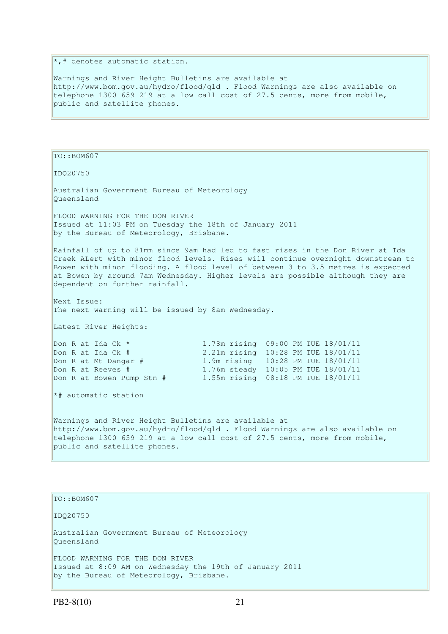$\ast$ , # denotes automatic station.

Warnings and River Height Bulletins are available at http://www.bom.gov.au/hydro/flood/qld . Flood Warnings are also available on telephone 1300 659 219 at a low call cost of 27.5 cents, more from mobile, public and satellite phones.

TO::BOM607 IDQ20750 Australian Government Bureau of Meteorology Queensland FLOOD WARNING FOR THE DON RIVER Issued at 11:03 PM on Tuesday the 18th of January 2011 by the Bureau of Meteorology, Brisbane. Rainfall of up to 81mm since 9am had led to fast rises in the Don River at Ida Creek ALert with minor flood levels. Rises will continue overnight downstream to Bowen with minor flooding. A flood level of between 3 to 3.5 metres is expected at Bowen by around 7am Wednesday. Higher levels are possible although they are dependent on further rainfall. Next Issue: The next warning will be issued by 8am Wednesday. Latest River Heights: Don R at Ida Ck \* 1.78m rising 09:00 PM TUE 18/01/11<br>
Don R at Ida Ck # 2.21m rising 10:28 PM TUE 18/01/11 2.21m rising 10:28 PM TUE 18/01/11 Don R at Mt Dangar # 1.9m rising 10:28 PM TUE 18/01/11 Don R at Reeves # 1.76m steady 10:05 PM TUE 18/01/11 Don R at Bowen Pump Stn # 1.55m rising 08:18 PM TUE 18/01/11 \*# automatic station Warnings and River Height Bulletins are available at http://www.bom.gov.au/hydro/flood/qld . Flood Warnings are also available on telephone 1300 659 219 at a low call cost of 27.5 cents, more from mobile, public and satellite phones.

TO::BOM607 IDQ20750 Australian Government Bureau of Meteorology Queensland FLOOD WARNING FOR THE DON RIVER Issued at 8:09 AM on Wednesday the 19th of January 2011 by the Bureau of Meteorology, Brisbane.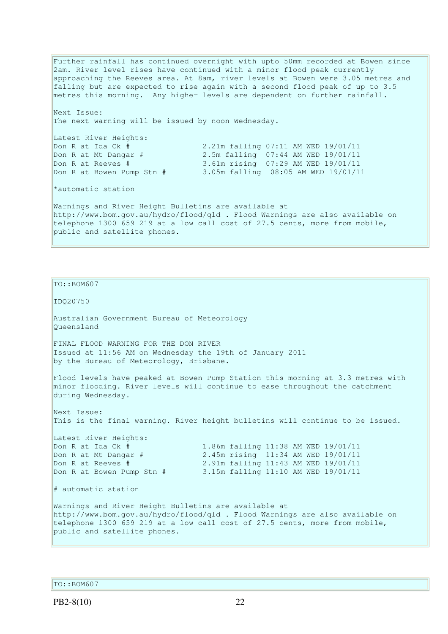Further rainfall has continued overnight with upto 50mm recorded at Bowen since 2am. River level rises have continued with a minor flood peak currently approaching the Reeves area. At 8am, river levels at Bowen were 3.05 metres and falling but are expected to rise again with a second flood peak of up to 3.5 metres this morning. Any higher levels are dependent on further rainfall. Next Issue: The next warning will be issued by noon Wednesday. Latest River Heights: Don R at Ida Ck  $\frac{4}{\pi}$  2.21m falling 07:11 AM WED 19/01/11<br>Don R at Mt Dangar  $\frac{4}{\pi}$  2.5m falling 07:44 AM WED 19/01/11 2.5m falling 07:44 AM WED 19/01/11 Don R at Reeves # 3.61m rising 07:29 AM WED 19/01/11 Don R at Bowen Pump Stn # 3.05m falling 08:05 AM WED 19/01/11 \*automatic station Warnings and River Height Bulletins are available at http://www.bom.gov.au/hydro/flood/qld . Flood Warnings are also available on telephone 1300 659 219 at a low call cost of 27.5 cents, more from mobile,

TO::BOM607

IDQ20750

Australian Government Bureau of Meteorology Queensland

FINAL FLOOD WARNING FOR THE DON RIVER Issued at 11:56 AM on Wednesday the 19th of January 2011 by the Bureau of Meteorology, Brisbane.

Flood levels have peaked at Bowen Pump Station this morning at 3.3 metres with minor flooding. River levels will continue to ease throughout the catchment during Wednesday.

Next Issue: This is the final warning. River height bulletins will continue to be issued.

Latest River Heights: Don R at Ida Ck # 1.86m falling 11:38 AM WED 19/01/11 Don R at Mt Dangar # 2.45m rising 11:34 AM WED 19/01/11 Don R at Reeves # 2.91m falling 11:43 AM WED 19/01/11 Don R at Bowen Pump Stn # 3.15m falling 11:10 AM WED 19/01/11

public and satellite phones.

# automatic station

Warnings and River Height Bulletins are available at http://www.bom.gov.au/hydro/flood/qld . Flood Warnings are also available on telephone 1300 659 219 at a low call cost of 27.5 cents, more from mobile, public and satellite phones.

TO::BOM607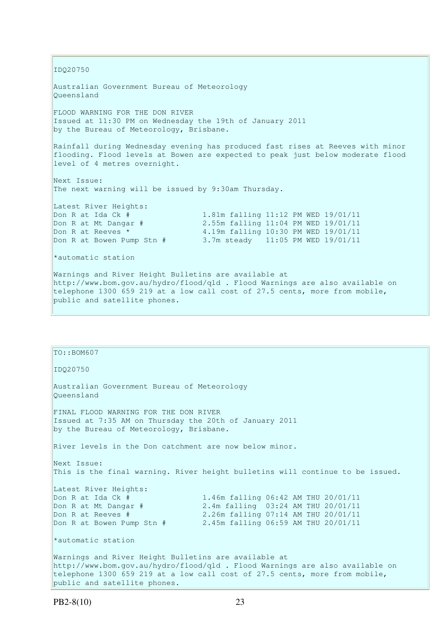IDQ20750 Australian Government Bureau of Meteorology Queensland FLOOD WARNING FOR THE DON RIVER Issued at 11:30 PM on Wednesday the 19th of January 2011 by the Bureau of Meteorology, Brisbane. Rainfall during Wednesday evening has produced fast rises at Reeves with minor flooding. Flood levels at Bowen are expected to peak just below moderate flood level of 4 metres overnight. Next Issue: The next warning will be issued by 9:30am Thursday. Latest River Heights: Don R at Ida Ck # 1.81m falling 11:12 PM WED 19/01/11<br>Don R at Mt Dangar # 2.55m falling 11:04 PM WED 19/01/11 2.55m falling 11:04 PM WED 19/01/11 Don R at Reeves \* 4.19m falling 10:30 PM WED 19/01/11 Don R at Bowen Pump Stn # 3.7m steady 11:05 PM WED 19/01/11 \*automatic station Warnings and River Height Bulletins are available at http://www.bom.gov.au/hydro/flood/qld . Flood Warnings are also available on telephone 1300 659 219 at a low call cost of 27.5 cents, more from mobile, public and satellite phones.

| TO::BOM607                                                                                                                                 |                                                                               |
|--------------------------------------------------------------------------------------------------------------------------------------------|-------------------------------------------------------------------------------|
| ID020750                                                                                                                                   |                                                                               |
| Australian Government Bureau of Meteorology<br>Oueensland                                                                                  |                                                                               |
| FINAL FLOOD WARNING FOR THE DON RIVER<br>Issued at 7:35 AM on Thursday the 20th of January 2011<br>by the Bureau of Meteorology, Brisbane. |                                                                               |
| River levels in the Don catchment are now below minor.                                                                                     |                                                                               |
| Next Issue:                                                                                                                                | This is the final warning. River height bulletins will continue to be issued. |
| Latest River Heights:                                                                                                                      |                                                                               |
| Don R at Ida Ck #                                                                                                                          | 1.46m falling 06:42 AM THU 20/01/11                                           |
| Don R at Mt Dangar #                                                                                                                       | 2.4m falling 03:24 AM THU 20/01/11                                            |
| Don R at Reeves #                                                                                                                          | 2.26m falling 07:14 AM THU 20/01/11                                           |
|                                                                                                                                            | Don R at Bowen Pump Stn # 2.45m falling 06:59 AM THU 20/01/11                 |
| *automatic station                                                                                                                         |                                                                               |
| Warnings and River Height Bulletins are available at                                                                                       |                                                                               |
|                                                                                                                                            | http://www.bom.gov.au/hydro/flood/qld . Flood Warnings are also available on  |
|                                                                                                                                            | telephone 1300 659 219 at a low call cost of 27.5 cents, more from mobile,    |
| public and satellite phones.                                                                                                               |                                                                               |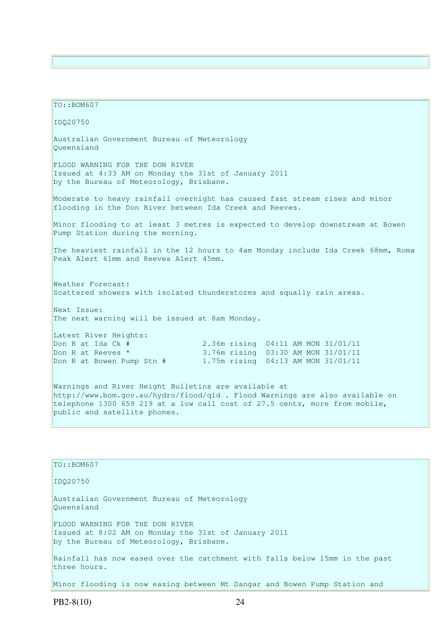TO::BOM607 IDQ20750 Australian Government Bureau of Meteorology Queensland FLOOD WARNING FOR THE DON RIVER Issued at 4:33 AM on Monday the 31st of January 2011 by the Bureau of Meteorology, Brisbane. Moderate to heavy rainfall overnight has caused fast stream rises and minor flooding in the Don River between Ida Creek and Reeves. Minor flooding to at least 3 metres is expected to develop downstream at Bowen Pump Station during the morning. The heaviest rainfall in the 12 hours to 4am Monday include Ida Creek 68mm, Roma Peak Alert 61mm and Reeves Alert 45mm. Weather Forecast: Scattered showers with isolated thunderstorms and squally rain areas. Next Issue: The next warning will be issued at 8am Monday. Latest River Heights: Don R at Ida Ck # 2.36m rising 04:11 AM MON 31/01/11 Don R at Reeves \* 3.76m rising 03:30 AM MON 31/01/11 Don R at Bowen Pump Stn # 1.75m rising 04:13 AM MON 31/01/11 Warnings and River Height Bulletins are available at http://www.bom.gov.au/hydro/flood/qld . Flood Warnings are also available on telephone 1300 659 219 at a low call cost of 27.5 cents, more from mobile, public and satellite phones.

TO::BOM607 IDQ20750 Australian Government Bureau of Meteorology Queensland FLOOD WARNING FOR THE DON RIVER Issued at 8:02 AM on Monday the 31st of January 2011 by the Bureau of Meteorology, Brisbane. Rainfall has now eased over the catchment with falls below 15mm in the past three hours. Minor flooding is now easing between Mt Dangar and Bowen Pump Station and